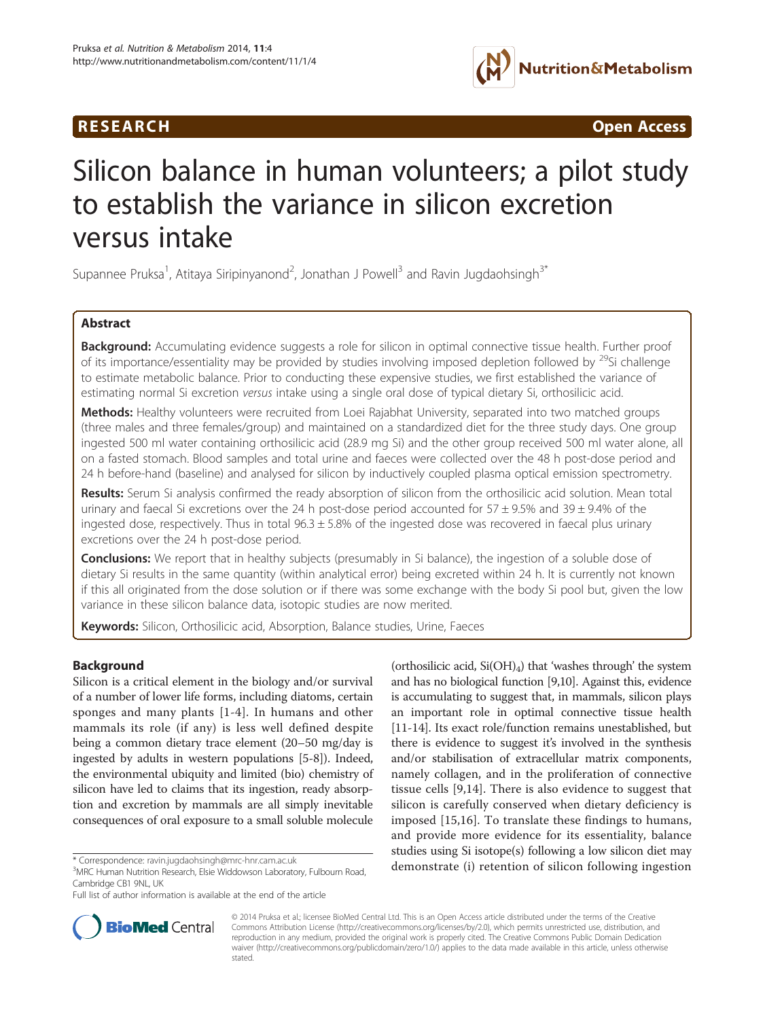## **RESEARCH CHINESE ARCH CHINESE ARCHITECT ARCHITECT ARCHITECT ARCHITECT ARCHITECT ARCHITECT ARCHITECT ARCHITECT ARCHITECT ARCHITECT ARCHITECT ARCHITECT ARCHITECT ARCHITECT ARCHITECT ARCHITECT ARCHITECT ARCHITECT ARCHITE**



# Silicon balance in human volunteers; a pilot study to establish the variance in silicon excretion versus intake

Supannee Pruksa<sup>1</sup>, Atitaya Siripinyanond<sup>2</sup>, Jonathan J Powell<sup>3</sup> and Ravin Jugdaohsingh<sup>3\*</sup>

## Abstract

Background: Accumulating evidence suggests a role for silicon in optimal connective tissue health. Further proof of its importance/essentiality may be provided by studies involving imposed depletion followed by <sup>29</sup>Si challenge to estimate metabolic balance. Prior to conducting these expensive studies, we first established the variance of estimating normal Si excretion versus intake using a single oral dose of typical dietary Si, orthosilicic acid.

Methods: Healthy volunteers were recruited from Loei Rajabhat University, separated into two matched groups (three males and three females/group) and maintained on a standardized diet for the three study days. One group ingested 500 ml water containing orthosilicic acid (28.9 mg Si) and the other group received 500 ml water alone, all on a fasted stomach. Blood samples and total urine and faeces were collected over the 48 h post-dose period and 24 h before-hand (baseline) and analysed for silicon by inductively coupled plasma optical emission spectrometry.

Results: Serum Si analysis confirmed the ready absorption of silicon from the orthosilicic acid solution. Mean total urinary and faecal Si excretions over the 24 h post-dose period accounted for  $57 \pm 9.5\%$  and  $39 \pm 9.4\%$  of the ingested dose, respectively. Thus in total  $96.3 \pm 5.8\%$  of the ingested dose was recovered in faecal plus urinary excretions over the 24 h post-dose period.

**Conclusions:** We report that in healthy subjects (presumably in Si balance), the ingestion of a soluble dose of dietary Si results in the same quantity (within analytical error) being excreted within 24 h. It is currently not known if this all originated from the dose solution or if there was some exchange with the body Si pool but, given the low variance in these silicon balance data, isotopic studies are now merited.

Keywords: Silicon, Orthosilicic acid, Absorption, Balance studies, Urine, Faeces

## Background

Silicon is a critical element in the biology and/or survival of a number of lower life forms, including diatoms, certain sponges and many plants [\[1](#page-6-0)-[4](#page-6-0)]. In humans and other mammals its role (if any) is less well defined despite being a common dietary trace element (20–50 mg/day is ingested by adults in western populations [[5](#page-6-0)[-8\]](#page-7-0)). Indeed, the environmental ubiquity and limited (bio) chemistry of silicon have led to claims that its ingestion, ready absorption and excretion by mammals are all simply inevitable consequences of oral exposure to a small soluble molecule

(orthosilicic acid,  $Si(OH)_4$ ) that 'washes through' the system and has no biological function [\[9,10](#page-7-0)]. Against this, evidence is accumulating to suggest that, in mammals, silicon plays an important role in optimal connective tissue health [[11](#page-7-0)-[14\]](#page-7-0). Its exact role/function remains unestablished, but there is evidence to suggest it's involved in the synthesis and/or stabilisation of extracellular matrix components, namely collagen, and in the proliferation of connective tissue cells [[9,14](#page-7-0)]. There is also evidence to suggest that silicon is carefully conserved when dietary deficiency is imposed [\[15,16](#page-7-0)]. To translate these findings to humans, and provide more evidence for its essentiality, balance studies using Si isotope(s) following a low silicon diet may \* Correspondence: [ravin.jugdaohsingh@mrc-hnr.cam.ac.uk](mailto:ravin.jugdaohsingh@mrc-hnr.cam.ac.uk) demonstrate (i) retention of silicon following ingestion  $\frac{3}{2}$ 



© 2014 Pruksa et al.; licensee BioMed Central Ltd. This is an Open Access article distributed under the terms of the Creative Commons Attribution License [\(http://creativecommons.org/licenses/by/2.0\)](http://creativecommons.org/licenses/by/2.0), which permits unrestricted use, distribution, and reproduction in any medium, provided the original work is properly cited. The Creative Commons Public Domain Dedication waiver [\(http://creativecommons.org/publicdomain/zero/1.0/\)](http://creativecommons.org/publicdomain/zero/1.0/) applies to the data made available in this article, unless otherwise stated.

<sup>&</sup>lt;sup>3</sup>MRC Human Nutrition Research, Elsie Widdowson Laboratory, Fulbourn Road, Cambridge CB1 9NL, UK

Full list of author information is available at the end of the article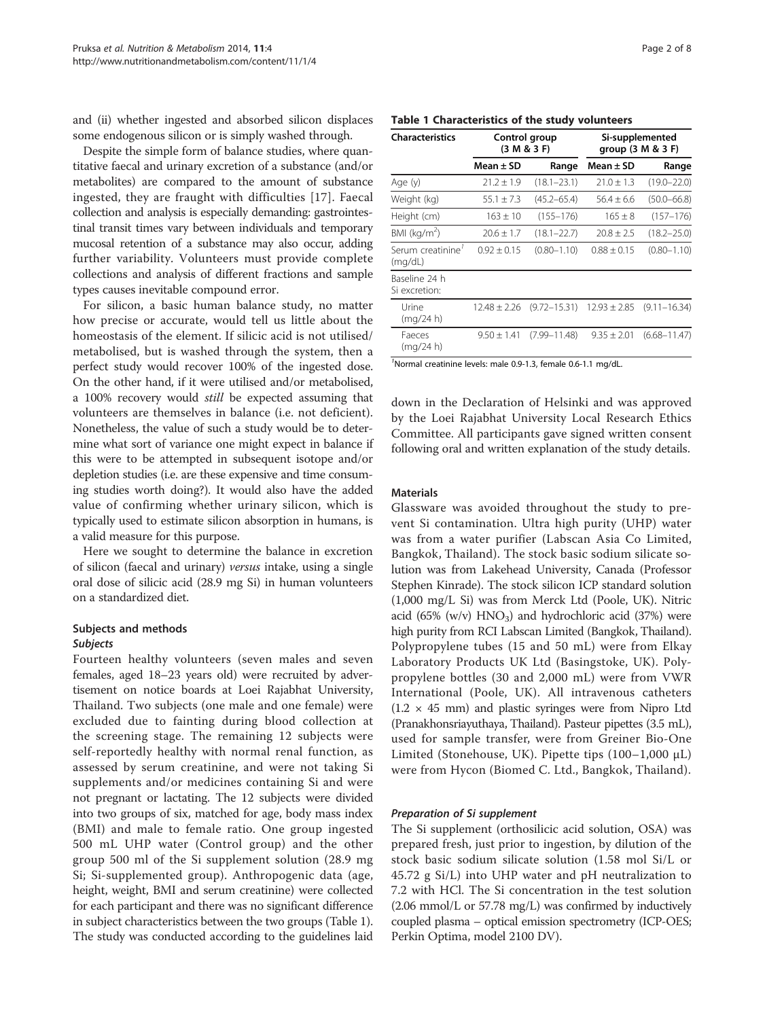and (ii) whether ingested and absorbed silicon displaces some endogenous silicon or is simply washed through.

Despite the simple form of balance studies, where quantitative faecal and urinary excretion of a substance (and/or metabolites) are compared to the amount of substance ingested, they are fraught with difficulties [[17](#page-7-0)]. Faecal collection and analysis is especially demanding: gastrointestinal transit times vary between individuals and temporary mucosal retention of a substance may also occur, adding further variability. Volunteers must provide complete collections and analysis of different fractions and sample types causes inevitable compound error.

For silicon, a basic human balance study, no matter how precise or accurate, would tell us little about the homeostasis of the element. If silicic acid is not utilised/ metabolised, but is washed through the system, then a perfect study would recover 100% of the ingested dose. On the other hand, if it were utilised and/or metabolised, a 100% recovery would still be expected assuming that volunteers are themselves in balance (i.e. not deficient). Nonetheless, the value of such a study would be to determine what sort of variance one might expect in balance if this were to be attempted in subsequent isotope and/or depletion studies (i.e. are these expensive and time consuming studies worth doing?). It would also have the added value of confirming whether urinary silicon, which is typically used to estimate silicon absorption in humans, is a valid measure for this purpose.

Here we sought to determine the balance in excretion of silicon (faecal and urinary) versus intake, using a single oral dose of silicic acid (28.9 mg Si) in human volunteers on a standardized diet.

## Subjects and methods Subjects

Fourteen healthy volunteers (seven males and seven females, aged 18–23 years old) were recruited by advertisement on notice boards at Loei Rajabhat University, Thailand. Two subjects (one male and one female) were excluded due to fainting during blood collection at the screening stage. The remaining 12 subjects were self-reportedly healthy with normal renal function, as assessed by serum creatinine, and were not taking Si supplements and/or medicines containing Si and were not pregnant or lactating. The 12 subjects were divided into two groups of six, matched for age, body mass index (BMI) and male to female ratio. One group ingested 500 mL UHP water (Control group) and the other group 500 ml of the Si supplement solution (28.9 mg Si; Si-supplemented group). Anthropogenic data (age, height, weight, BMI and serum creatinine) were collected for each participant and there was no significant difference in subject characteristics between the two groups (Table 1). The study was conducted according to the guidelines laid

#### Table 1 Characteristics of the study volunteers

| <b>Characteristics</b>         | Control group<br>(3 M & 3 F) |                  | Si-supplemented<br>group $(3 M & 3 F)$ |                               |  |
|--------------------------------|------------------------------|------------------|----------------------------------------|-------------------------------|--|
|                                | Mean ± SD                    | Range            | Mean $\pm$ SD                          | Range                         |  |
| Age (y)                        | $21.2 + 1.9$                 | $(18.1 - 23.1)$  | $21.0 + 1.3$                           | $(19.0 - 22.0)$               |  |
| Weight (kg)                    | $55.1 \pm 7.3$               | $(45.2 - 65.4)$  | $56.4 + 6.6$                           | $(50.0 - 66.8)$               |  |
| Height (cm)                    | $163 \pm 10$                 | $(155 - 176)$    | $165 \pm 8$                            | $(157 - 176)$                 |  |
| BMI (kg/m <sup>2</sup> )       | $20.6 \pm 1.7$               | $(18.1 - 22.7)$  | $20.8 \pm 2.5$                         | $(18.2 - 25.0)$               |  |
| Serum creatinine'<br>(mq/dL)   | $0.92 \pm 0.15$              | $(0.80 - 1.10)$  | $0.88 \pm 0.15$                        | $(0.80 - 1.10)$               |  |
| Baseline 24 h<br>Si excretion: |                              |                  |                                        |                               |  |
| Urine<br>(mq/24 h)             | $12.48 \pm 2.26$             | $(9.72 - 15.31)$ |                                        | $12.93 \pm 2.85$ (9.11-16.34) |  |
| Faeces<br>(mq/24 h)            | $9.50 \pm 1.41$              | $(7.99 - 11.48)$ | $9.35 \pm 2.01$                        | $(6.68 - 11.47)$              |  |

<sup>7</sup>Normal creatinine levels: male 0.9-1.3, female 0.6-1.1 mg/dL.

down in the Declaration of Helsinki and was approved by the Loei Rajabhat University Local Research Ethics Committee. All participants gave signed written consent following oral and written explanation of the study details.

## Materials

Glassware was avoided throughout the study to prevent Si contamination. Ultra high purity (UHP) water was from a water purifier (Labscan Asia Co Limited, Bangkok, Thailand). The stock basic sodium silicate solution was from Lakehead University, Canada (Professor Stephen Kinrade). The stock silicon ICP standard solution (1,000 mg/L Si) was from Merck Ltd (Poole, UK). Nitric acid (65% (w/v)  $HNO<sub>3</sub>$ ) and hydrochloric acid (37%) were high purity from RCI Labscan Limited (Bangkok, Thailand). Polypropylene tubes (15 and 50 mL) were from Elkay Laboratory Products UK Ltd (Basingstoke, UK). Polypropylene bottles (30 and 2,000 mL) were from VWR International (Poole, UK). All intravenous catheters  $(1.2 \times 45$  mm) and plastic syringes were from Nipro Ltd (Pranakhonsriayuthaya, Thailand). Pasteur pipettes (3.5 mL), used for sample transfer, were from Greiner Bio-One Limited (Stonehouse, UK). Pipette tips (100–1,000 μL) were from Hycon (Biomed C. Ltd., Bangkok, Thailand).

#### Preparation of Si supplement

The Si supplement (orthosilicic acid solution, OSA) was prepared fresh, just prior to ingestion, by dilution of the stock basic sodium silicate solution (1.58 mol Si/L or 45.72 g Si/L) into UHP water and pH neutralization to 7.2 with HCl. The Si concentration in the test solution (2.06 mmol/L or 57.78 mg/L) was confirmed by inductively coupled plasma – optical emission spectrometry (ICP-OES; Perkin Optima, model 2100 DV).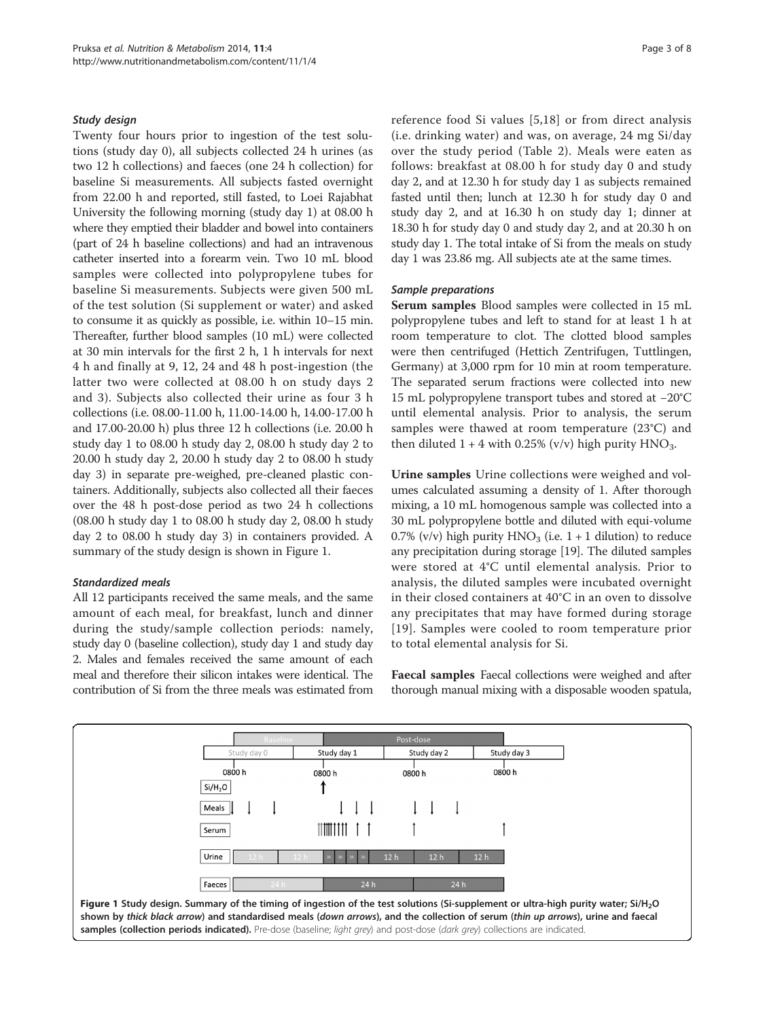## <span id="page-2-0"></span>Study design

Twenty four hours prior to ingestion of the test solutions (study day 0), all subjects collected 24 h urines (as two 12 h collections) and faeces (one 24 h collection) for baseline Si measurements. All subjects fasted overnight from 22.00 h and reported, still fasted, to Loei Rajabhat University the following morning (study day 1) at 08.00 h where they emptied their bladder and bowel into containers (part of 24 h baseline collections) and had an intravenous catheter inserted into a forearm vein. Two 10 mL blood samples were collected into polypropylene tubes for baseline Si measurements. Subjects were given 500 mL of the test solution (Si supplement or water) and asked to consume it as quickly as possible, i.e. within 10–15 min. Thereafter, further blood samples (10 mL) were collected at 30 min intervals for the first 2 h, 1 h intervals for next 4 h and finally at 9, 12, 24 and 48 h post-ingestion (the latter two were collected at 08.00 h on study days 2 and 3). Subjects also collected their urine as four 3 h collections (i.e. 08.00-11.00 h, 11.00-14.00 h, 14.00-17.00 h and 17.00-20.00 h) plus three 12 h collections (i.e. 20.00 h study day 1 to 08.00 h study day 2, 08.00 h study day 2 to 20.00 h study day 2, 20.00 h study day 2 to 08.00 h study day 3) in separate pre-weighed, pre-cleaned plastic containers. Additionally, subjects also collected all their faeces over the 48 h post-dose period as two 24 h collections (08.00 h study day 1 to 08.00 h study day 2, 08.00 h study day 2 to 08.00 h study day 3) in containers provided. A summary of the study design is shown in Figure 1.

## Standardized meals

All 12 participants received the same meals, and the same amount of each meal, for breakfast, lunch and dinner during the study/sample collection periods: namely, study day 0 (baseline collection), study day 1 and study day 2. Males and females received the same amount of each meal and therefore their silicon intakes were identical. The contribution of Si from the three meals was estimated from reference food Si values [[5,](#page-6-0)[18](#page-7-0)] or from direct analysis (i.e. drinking water) and was, on average, 24 mg Si/day over the study period (Table [2](#page-3-0)). Meals were eaten as follows: breakfast at 08.00 h for study day 0 and study day 2, and at 12.30 h for study day 1 as subjects remained fasted until then; lunch at 12.30 h for study day 0 and study day 2, and at 16.30 h on study day 1; dinner at 18.30 h for study day 0 and study day 2, and at 20.30 h on study day 1. The total intake of Si from the meals on study day 1 was 23.86 mg. All subjects ate at the same times.

### Sample preparations

Serum samples Blood samples were collected in 15 mL polypropylene tubes and left to stand for at least 1 h at room temperature to clot. The clotted blood samples were then centrifuged (Hettich Zentrifugen, Tuttlingen, Germany) at 3,000 rpm for 10 min at room temperature. The separated serum fractions were collected into new 15 mL polypropylene transport tubes and stored at −20°C until elemental analysis. Prior to analysis, the serum samples were thawed at room temperature (23°C) and then diluted  $1 + 4$  with 0.25% (v/v) high purity  $HNO<sub>3</sub>$ .

Urine samples Urine collections were weighed and volumes calculated assuming a density of 1. After thorough mixing, a 10 mL homogenous sample was collected into a 30 mL polypropylene bottle and diluted with equi-volume 0.7% (v/v) high purity  $HNO<sub>3</sub>$  (i.e. 1 + 1 dilution) to reduce any precipitation during storage [\[19](#page-7-0)]. The diluted samples were stored at 4°C until elemental analysis. Prior to analysis, the diluted samples were incubated overnight in their closed containers at 40°C in an oven to dissolve any precipitates that may have formed during storage [[19](#page-7-0)]. Samples were cooled to room temperature prior to total elemental analysis for Si.

Faecal samples Faecal collections were weighed and after thorough manual mixing with a disposable wooden spatula,

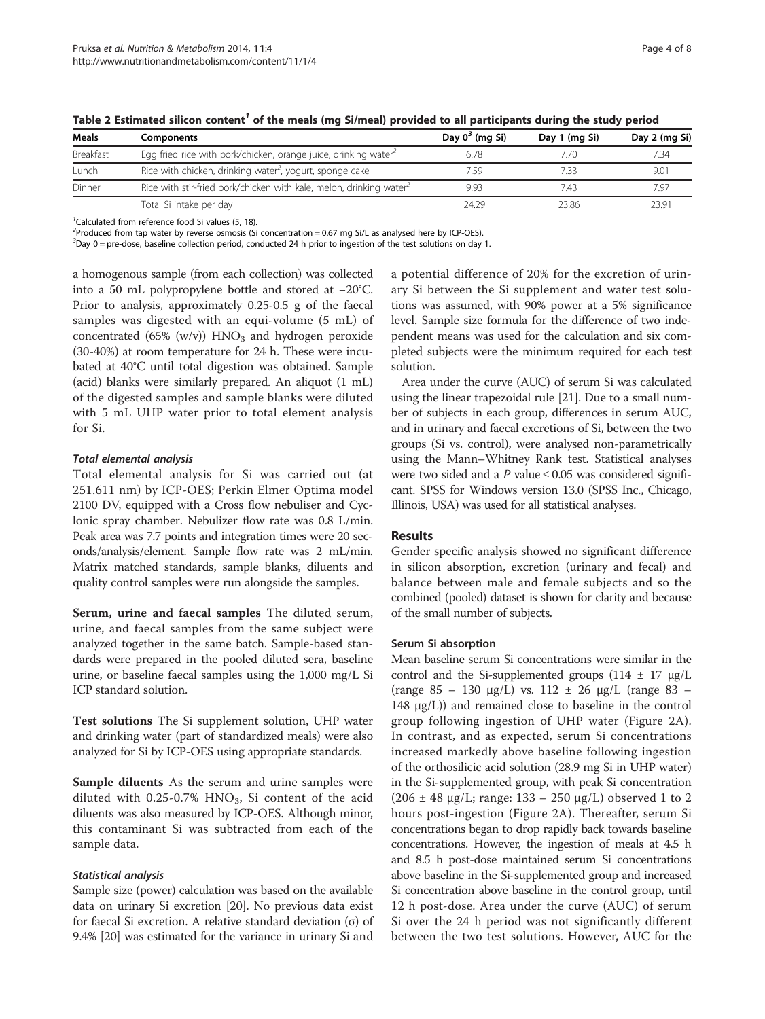| Meals            | Components                                                           | Day $0^3$ (mg Si) | Day 1 (mg Si) | Day 2 (mg Si) |
|------------------|----------------------------------------------------------------------|-------------------|---------------|---------------|
| <b>Breakfast</b> | Egg fried rice with pork/chicken, orange juice, drinking water       | 6.78              | 7.70          | 7.34          |
| Lunch            | Rice with chicken, drinking water <sup>2</sup> , yogurt, sponge cake | 7.59              | 7.33          | 9.01          |
| Dinner           | Rice with stir-fried pork/chicken with kale, melon, drinking water   | 9.93              | 7.43          | 7.97          |
|                  | Total Si intake per day                                              | 24.29             | 23.86         | 23.91         |

<span id="page-3-0"></span>Table 2 Estimated silicon content<sup>7</sup> of the meals (mg Si/meal) provided to all participants during the study period

<sup>1</sup>Calculated from reference food Si values (5, 18).

 $^{2}$ Produced from tap water by reverse osmosis (Si concentration = 0.67 mg Si/L as analysed here by ICP-OES).

3 Day 0 = pre-dose, baseline collection period, conducted 24 h prior to ingestion of the test solutions on day 1.

a homogenous sample (from each collection) was collected into a 50 mL polypropylene bottle and stored at −20°C. Prior to analysis, approximately 0.25-0.5 g of the faecal samples was digested with an equi-volume (5 mL) of concentrated (65% (w/v))  $HNO<sub>3</sub>$  and hydrogen peroxide (30-40%) at room temperature for 24 h. These were incubated at 40°C until total digestion was obtained. Sample (acid) blanks were similarly prepared. An aliquot (1 mL) of the digested samples and sample blanks were diluted with 5 mL UHP water prior to total element analysis for Si.

## Total elemental analysis

Total elemental analysis for Si was carried out (at 251.611 nm) by ICP-OES; Perkin Elmer Optima model 2100 DV, equipped with a Cross flow nebuliser and Cyclonic spray chamber. Nebulizer flow rate was 0.8 L/min. Peak area was 7.7 points and integration times were 20 seconds/analysis/element. Sample flow rate was 2 mL/min. Matrix matched standards, sample blanks, diluents and quality control samples were run alongside the samples.

Serum, urine and faecal samples The diluted serum, urine, and faecal samples from the same subject were analyzed together in the same batch. Sample-based standards were prepared in the pooled diluted sera, baseline urine, or baseline faecal samples using the 1,000 mg/L Si ICP standard solution.

Test solutions The Si supplement solution, UHP water and drinking water (part of standardized meals) were also analyzed for Si by ICP-OES using appropriate standards.

Sample diluents As the serum and urine samples were diluted with  $0.25$ -0.7% HNO<sub>3</sub>, Si content of the acid diluents was also measured by ICP-OES. Although minor, this contaminant Si was subtracted from each of the sample data.

### Statistical analysis

Sample size (power) calculation was based on the available data on urinary Si excretion [\[20\]](#page-7-0). No previous data exist for faecal Si excretion. A relative standard deviation (σ) of 9.4% [\[20\]](#page-7-0) was estimated for the variance in urinary Si and

a potential difference of 20% for the excretion of urinary Si between the Si supplement and water test solutions was assumed, with 90% power at a 5% significance level. Sample size formula for the difference of two independent means was used for the calculation and six completed subjects were the minimum required for each test solution.

Area under the curve (AUC) of serum Si was calculated using the linear trapezoidal rule [[21](#page-7-0)]. Due to a small number of subjects in each group, differences in serum AUC, and in urinary and faecal excretions of Si, between the two groups (Si vs. control), were analysed non-parametrically using the Mann–Whitney Rank test. Statistical analyses were two sided and a P value  $\leq 0.05$  was considered significant. SPSS for Windows version 13.0 (SPSS Inc., Chicago, Illinois, USA) was used for all statistical analyses.

### Results

Gender specific analysis showed no significant difference in silicon absorption, excretion (urinary and fecal) and balance between male and female subjects and so the combined (pooled) dataset is shown for clarity and because of the small number of subjects.

### Serum Si absorption

Mean baseline serum Si concentrations were similar in the control and the Si-supplemented groups  $(114 \pm 17 \text{ µg/L})$ (range 85 – 130 μg/L) vs. 112 ± 26 μg/L (range 83 – 148 μg/L)) and remained close to baseline in the control group following ingestion of UHP water (Figure [2A](#page-4-0)). In contrast, and as expected, serum Si concentrations increased markedly above baseline following ingestion of the orthosilicic acid solution (28.9 mg Si in UHP water) in the Si-supplemented group, with peak Si concentration  $(206 \pm 48 \text{ µg/L}; \text{range: } 133 - 250 \text{ µg/L}) \text{ observed 1 to 2}$ hours post-ingestion (Figure [2](#page-4-0)A). Thereafter, serum Si concentrations began to drop rapidly back towards baseline concentrations. However, the ingestion of meals at 4.5 h and 8.5 h post-dose maintained serum Si concentrations above baseline in the Si-supplemented group and increased Si concentration above baseline in the control group, until 12 h post-dose. Area under the curve (AUC) of serum Si over the 24 h period was not significantly different between the two test solutions. However, AUC for the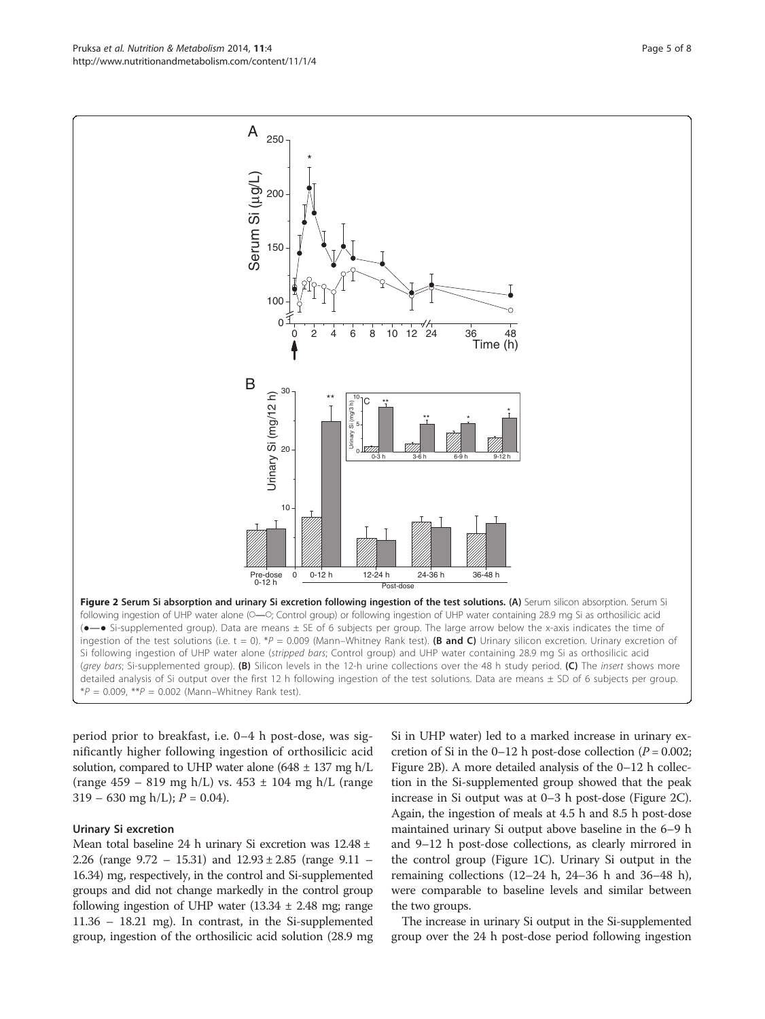period prior to breakfast, i.e. 0–4 h post-dose, was significantly higher following ingestion of orthosilicic acid solution, compared to UHP water alone  $(648 \pm 137 \text{ mg h/L})$ (range  $459 - 819$  mg h/L) vs.  $453 \pm 104$  mg h/L (range  $319 - 630$  mg h/L);  $P = 0.04$ .

## Urinary Si excretion

Mean total baseline 24 h urinary Si excretion was 12.48 ± 2.26 (range 9.72 – 15.31) and 12.93 ± 2.85 (range 9.11 – 16.34) mg, respectively, in the control and Si-supplemented groups and did not change markedly in the control group following ingestion of UHP water  $(13.34 \pm 2.48 \text{ mg})$ ; range 11.36 – 18.21 mg). In contrast, in the Si-supplemented group, ingestion of the orthosilicic acid solution (28.9 mg Si in UHP water) led to a marked increase in urinary excretion of Si in the 0–12 h post-dose collection ( $P = 0.002$ ; Figure 2B). A more detailed analysis of the 0–12 h collection in the Si-supplemented group showed that the peak increase in Si output was at 0–3 h post-dose (Figure 2C). Again, the ingestion of meals at 4.5 h and 8.5 h post-dose maintained urinary Si output above baseline in the 6–9 h and 9–12 h post-dose collections, as clearly mirrored in the control group (Figure [1](#page-2-0)C). Urinary Si output in the remaining collections (12–24 h, 24–36 h and 36–48 h), were comparable to baseline levels and similar between the two groups.

The increase in urinary Si output in the Si-supplemented group over the 24 h post-dose period following ingestion

<span id="page-4-0"></span>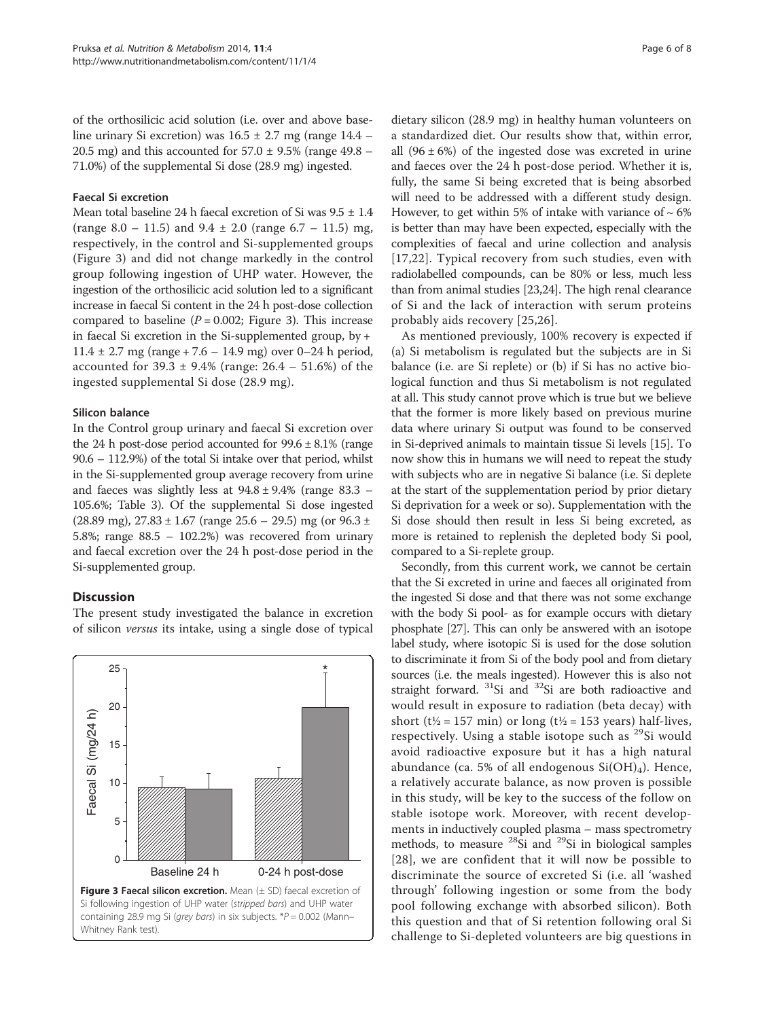of the orthosilicic acid solution (i.e. over and above baseline urinary Si excretion) was  $16.5 \pm 2.7$  mg (range  $14.4$  – 20.5 mg) and this accounted for  $57.0 \pm 9.5\%$  (range 49.8 – 71.0%) of the supplemental Si dose (28.9 mg) ingested.

## Faecal Si excretion

Mean total baseline 24 h faecal excretion of Si was  $9.5 \pm 1.4$ (range  $8.0 - 11.5$ ) and  $9.4 \pm 2.0$  (range  $6.7 - 11.5$ ) mg, respectively, in the control and Si-supplemented groups (Figure 3) and did not change markedly in the control group following ingestion of UHP water. However, the ingestion of the orthosilicic acid solution led to a significant increase in faecal Si content in the 24 h post-dose collection compared to baseline  $(P = 0.002;$  Figure 3). This increase in faecal Si excretion in the Si-supplemented group, by + 11.4  $\pm$  2.7 mg (range + 7.6 – 14.9 mg) over 0–24 h period, accounted for  $39.3 \pm 9.4\%$  (range:  $26.4 - 51.6\%$ ) of the ingested supplemental Si dose (28.9 mg).

## Silicon balance

In the Control group urinary and faecal Si excretion over the 24 h post-dose period accounted for  $99.6 \pm 8.1\%$  (range 90.6 – 112.9%) of the total Si intake over that period, whilst in the Si-supplemented group average recovery from urine and faeces was slightly less at  $94.8 \pm 9.4\%$  (range 83.3 – 105.6%; Table [3\)](#page-6-0). Of the supplemental Si dose ingested (28.89 mg),  $27.83 \pm 1.67$  (range  $25.6 - 29.5$ ) mg (or  $96.3 \pm$ 5.8%; range 88.5 – 102.2%) was recovered from urinary and faecal excretion over the 24 h post-dose period in the Si-supplemented group.

## **Discussion**

The present study investigated the balance in excretion of silicon versus its intake, using a single dose of typical



dietary silicon (28.9 mg) in healthy human volunteers on a standardized diet. Our results show that, within error, all  $(96 \pm 6\%)$  of the ingested dose was excreted in urine and faeces over the 24 h post-dose period. Whether it is, fully, the same Si being excreted that is being absorbed will need to be addressed with a different study design. However, to get within 5% of intake with variance of  $\sim 6\%$ is better than may have been expected, especially with the complexities of faecal and urine collection and analysis [[17](#page-7-0),[22\]](#page-7-0). Typical recovery from such studies, even with radiolabelled compounds, can be 80% or less, much less than from animal studies [[23,24\]](#page-7-0). The high renal clearance of Si and the lack of interaction with serum proteins probably aids recovery [[25](#page-7-0),[26\]](#page-7-0).

As mentioned previously, 100% recovery is expected if (a) Si metabolism is regulated but the subjects are in Si balance (i.e. are Si replete) or (b) if Si has no active biological function and thus Si metabolism is not regulated at all. This study cannot prove which is true but we believe that the former is more likely based on previous murine data where urinary Si output was found to be conserved in Si-deprived animals to maintain tissue Si levels [\[15](#page-7-0)]. To now show this in humans we will need to repeat the study with subjects who are in negative Si balance (i.e. Si deplete at the start of the supplementation period by prior dietary Si deprivation for a week or so). Supplementation with the Si dose should then result in less Si being excreted, as more is retained to replenish the depleted body Si pool, compared to a Si-replete group.

Secondly, from this current work, we cannot be certain that the Si excreted in urine and faeces all originated from the ingested Si dose and that there was not some exchange with the body Si pool- as for example occurs with dietary phosphate [\[27](#page-7-0)]. This can only be answered with an isotope label study, where isotopic Si is used for the dose solution to discriminate it from Si of the body pool and from dietary sources (i.e. the meals ingested). However this is also not straight forward.  $31$ Si and  $32$ Si are both radioactive and would result in exposure to radiation (beta decay) with short ( $t\frac{1}{2}$  = 157 min) or long ( $t\frac{1}{2}$  = 153 years) half-lives, respectively. Using a stable isotope such as <sup>29</sup>Si would avoid radioactive exposure but it has a high natural abundance (ca. 5% of all endogenous  $Si(OH)_4$ ). Hence, a relatively accurate balance, as now proven is possible in this study, will be key to the success of the follow on stable isotope work. Moreover, with recent developments in inductively coupled plasma – mass spectrometry methods, to measure  $28Si$  and  $29Si$  in biological samples [[28](#page-7-0)], we are confident that it will now be possible to discriminate the source of excreted Si (i.e. all 'washed through' following ingestion or some from the body pool following exchange with absorbed silicon). Both this question and that of Si retention following oral Si challenge to Si-depleted volunteers are big questions in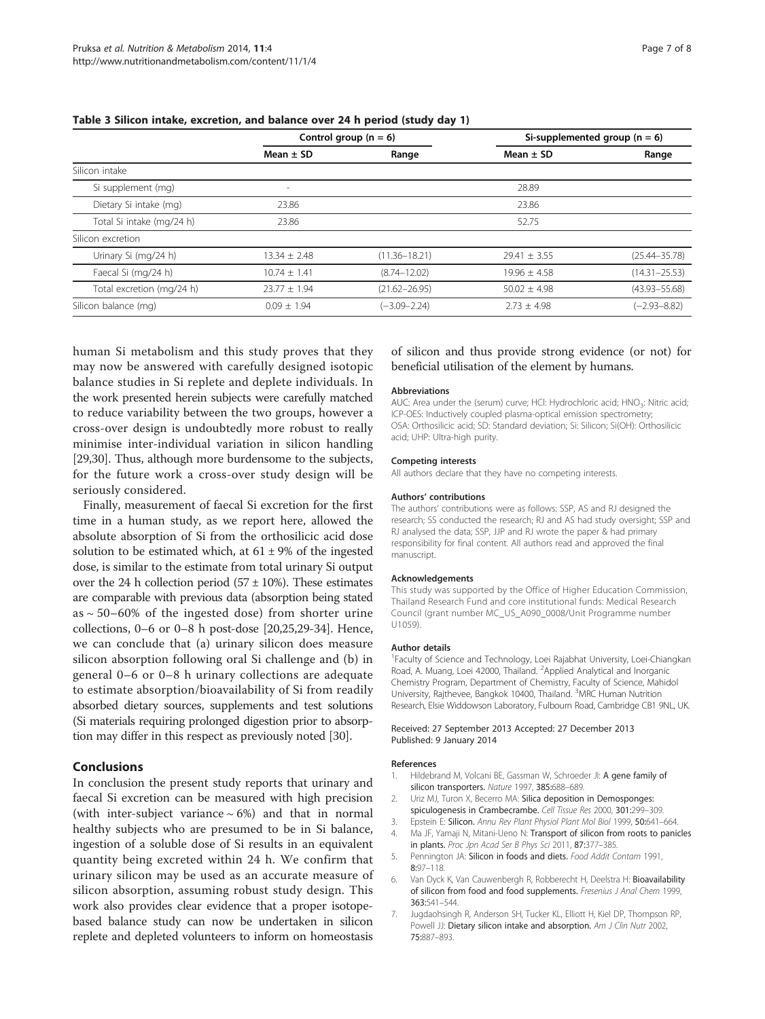|                           | Control group ( $n = 6$ ) |                   | Si-supplemented group ( $n = 6$ ) |                   |
|---------------------------|---------------------------|-------------------|-----------------------------------|-------------------|
|                           | Mean $\pm$ SD             | Range             | Mean $\pm$ SD                     | Range             |
| Silicon intake            |                           |                   |                                   |                   |
| Si supplement (mg)        | $\overline{\phantom{a}}$  |                   | 28.89                             |                   |
| Dietary Si intake (mg)    | 23.86                     |                   | 23.86                             |                   |
| Total Si intake (mg/24 h) | 23.86                     |                   | 52.75                             |                   |
| Silicon excretion         |                           |                   |                                   |                   |
| Urinary Si (mg/24 h)      | $13.34 \pm 2.48$          | $(11.36 - 18.21)$ | $29.41 \pm 3.55$                  | $(25.44 - 35.78)$ |
| Faecal Si (mg/24 h)       | $10.74 + 1.41$            | $(8.74 - 12.02)$  | $19.96 + 4.58$                    | $(14.31 - 25.53)$ |
| Total excretion (mg/24 h) | $23.77 \pm 1.94$          | $(21.62 - 26.95)$ | $50.02 \pm 4.98$                  | $(43.93 - 55.68)$ |
| Silicon balance (mg)      | $0.09 \pm 1.94$           | $(-3.09 - 2.24)$  | $2.73 + 4.98$                     | $(-2.93 - 8.82)$  |

## <span id="page-6-0"></span>Table 3 Silicon intake, excretion, and balance over 24 h period (study day 1)

human Si metabolism and this study proves that they may now be answered with carefully designed isotopic balance studies in Si replete and deplete individuals. In the work presented herein subjects were carefully matched to reduce variability between the two groups, however a cross-over design is undoubtedly more robust to really minimise inter-individual variation in silicon handling [[29,30](#page-7-0)]. Thus, although more burdensome to the subjects, for the future work a cross-over study design will be seriously considered.

Finally, measurement of faecal Si excretion for the first time in a human study, as we report here, allowed the absolute absorption of Si from the orthosilicic acid dose solution to be estimated which, at  $61 \pm 9\%$  of the ingested dose, is similar to the estimate from total urinary Si output over the 24 h collection period  $(57 \pm 10\%)$ . These estimates are comparable with previous data (absorption being stated as  $\sim$  50–60% of the ingested dose) from shorter urine collections, 0–6 or 0–8 h post-dose [\[20,25,29](#page-7-0)-[34](#page-7-0)]. Hence, we can conclude that (a) urinary silicon does measure silicon absorption following oral Si challenge and (b) in general 0–6 or 0–8 h urinary collections are adequate to estimate absorption/bioavailability of Si from readily absorbed dietary sources, supplements and test solutions (Si materials requiring prolonged digestion prior to absorption may differ in this respect as previously noted [\[30\]](#page-7-0).

## Conclusions

In conclusion the present study reports that urinary and faecal Si excretion can be measured with high precision (with inter-subject variance  $\sim$  6%) and that in normal healthy subjects who are presumed to be in Si balance, ingestion of a soluble dose of Si results in an equivalent quantity being excreted within 24 h. We confirm that urinary silicon may be used as an accurate measure of silicon absorption, assuming robust study design. This work also provides clear evidence that a proper isotopebased balance study can now be undertaken in silicon replete and depleted volunteers to inform on homeostasis

## of silicon and thus provide strong evidence (or not) for beneficial utilisation of the element by humans.

### Abbreviations

AUC: Area under the (serum) curve; HCl: Hydrochloric acid; HNO<sub>3</sub>: Nitric acid; ICP-OES: Inductively coupled plasma-optical emission spectrometry; OSA: Orthosilicic acid; SD: Standard deviation; Si: Silicon; Si(OH): Orthosilicic acid; UHP: Ultra-high purity.

#### Competing interests

All authors declare that they have no competing interests.

#### Authors' contributions

The authors' contributions were as follows: SSP, AS and RJ designed the research; SS conducted the research; RJ and AS had study oversight; SSP and RJ analysed the data; SSP, JJP and RJ wrote the paper & had primary responsibility for final content. All authors read and approved the final manuscript.

#### Acknowledgements

This study was supported by the Office of Higher Education Commission, Thailand Research Fund and core institutional funds: Medical Research Council (grant number MC\_US\_A090\_0008/Unit Programme number U1059).

#### Author details

<sup>1</sup> Faculty of Science and Technology, Loei Rajabhat University, Loei-Chiangkan Road, A. Muang, Loei 42000, Thailand. <sup>2</sup>Applied Analytical and Inorganic Chemistry Program, Department of Chemistry, Faculty of Science, Mahidol University, Rajthevee, Bangkok 10400, Thailand. <sup>3</sup>MRC Human Nutrition Research, Elsie Widdowson Laboratory, Fulbourn Road, Cambridge CB1 9NL, UK.

#### Received: 27 September 2013 Accepted: 27 December 2013 Published: 9 January 2014

#### References

- 1. Hildebrand M, Volcani BE, Gassman W, Schroeder JI: A gene family of silicon transporters. Nature 1997, 385:688–689.
- 2. Uriz MJ, Turon X, Becerro MA: Silica deposition in Demosponges: spiculogenesis in Crambecrambe. Cell Tissue Res 2000, 301:299–309.
- 3. Epstein E: Silicon. Annu Rev Plant Physiol Plant Mol Biol 1999, 50:641-664. Ma JF, Yamaji N, Mitani-Ueno N: Transport of silicon from roots to panicles
- in plants. Proc Jpn Acad Ser B Phys Sci 2011, 87:377–385. 5. Pennington JA: Silicon in foods and diets. Food Addit Contam 1991, 8:97–118.
- 6. Van Dyck K, Van Cauwenbergh R, Robberecht H, Deelstra H: Bioavailability of silicon from food and food supplements. Fresenius J Anal Chem 1999, 363:541–544.
- 7. Jugdaohsingh R, Anderson SH, Tucker KL, Elliott H, Kiel DP, Thompson RP, Powell JJ: Dietary silicon intake and absorption. Am J Clin Nutr 2002, 75:887–893.